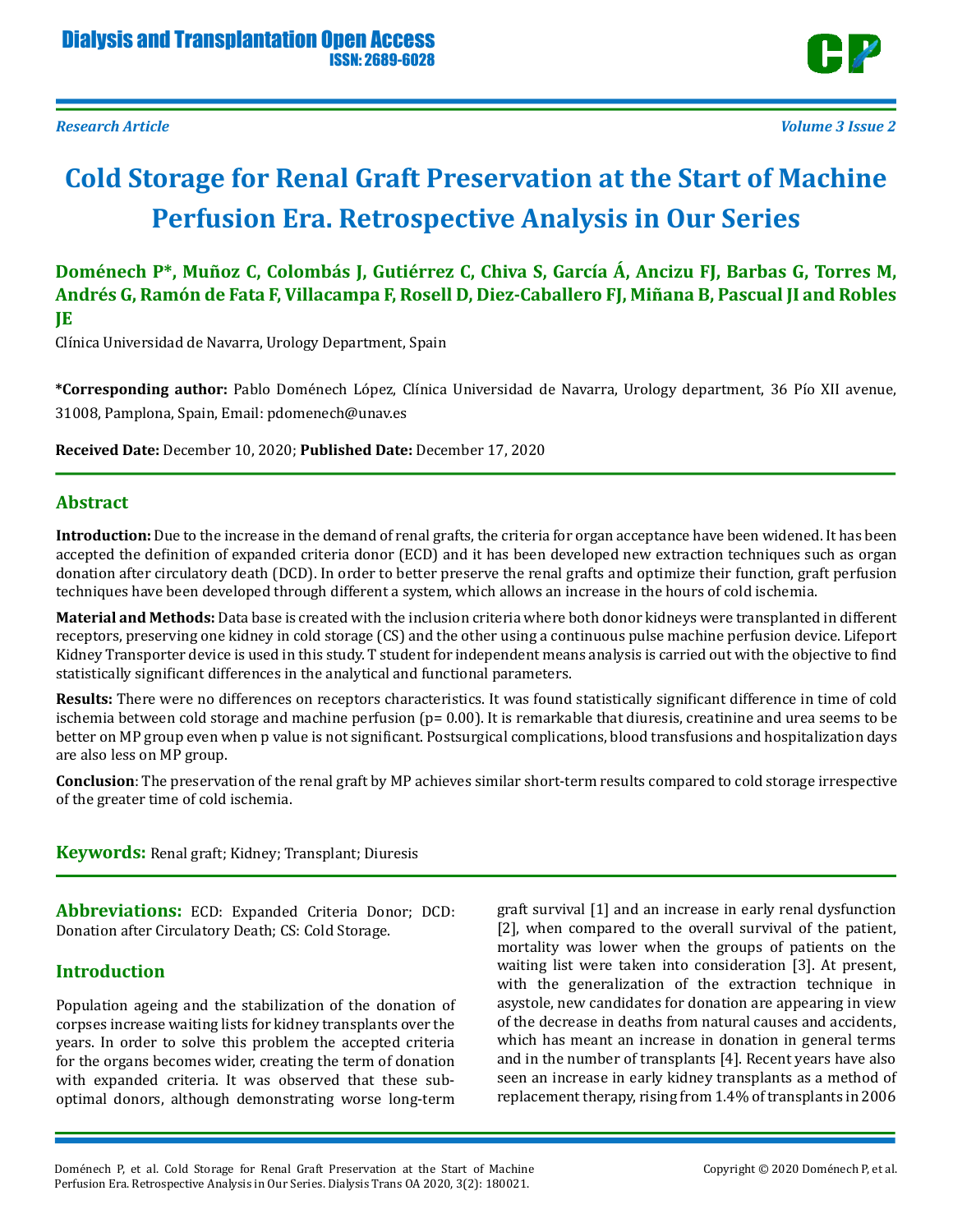

# **Cold Storage for Renal Graft Preservation at the Start of Machine Perfusion Era. Retrospective Analysis in Our Series**

**Doménech P\*, Muñoz C, Colombás J, Gutiérrez C, Chiva S, García Á, Ancizu FJ, Barbas G, Torres M, Andrés G, Ramón de Fata F, Villacampa F, Rosell D, Diez-Caballero FJ, Miñana B, Pascual JI and Robles JE** 

Clínica Universidad de Navarra, Urology Department, Spain

**\*Corresponding author:** Pablo Doménech López, Clínica Universidad de Navarra, Urology department, 36 Pío XII avenue, 31008, Pamplona, Spain, Email: pdomenech@unav.es

**Received Date:** December 10, 2020; **Published Date:** December 17, 2020

## **Abstract**

**Introduction:** Due to the increase in the demand of renal grafts, the criteria for organ acceptance have been widened. It has been accepted the definition of expanded criteria donor (ECD) and it has been developed new extraction techniques such as organ donation after circulatory death (DCD). In order to better preserve the renal grafts and optimize their function, graft perfusion techniques have been developed through different a system, which allows an increase in the hours of cold ischemia.

**Material and Methods:** Data base is created with the inclusion criteria where both donor kidneys were transplanted in different receptors, preserving one kidney in cold storage (CS) and the other using a continuous pulse machine perfusion device. Lifeport Kidney Transporter device is used in this study. T student for independent means analysis is carried out with the objective to find statistically significant differences in the analytical and functional parameters.

**Results:** There were no differences on receptors characteristics. It was found statistically significant difference in time of cold ischemia between cold storage and machine perfusion  $(p= 0.00)$ . It is remarkable that diuresis, creatinine and urea seems to be better on MP group even when p value is not significant. Postsurgical complications, blood transfusions and hospitalization days are also less on MP group.

**Conclusion**: The preservation of the renal graft by MP achieves similar short-term results compared to cold storage irrespective of the greater time of cold ischemia.

**Keywords:** Renal graft; Kidney; Transplant; Diuresis

**Abbreviations:** ECD: Expanded Criteria Donor; DCD: Donation after Circulatory Death; CS: Cold Storage.

## **Introduction**

Population ageing and the stabilization of the donation of corpses increase waiting lists for kidney transplants over the years. In order to solve this problem the accepted criteria for the organs becomes wider, creating the term of donation with expanded criteria. It was observed that these suboptimal donors, although demonstrating worse long-term

graft survival [1] and an increase in early renal dysfunction [2], when compared to the overall survival of the patient, mortality was lower when the groups of patients on the waiting list were taken into consideration [3]. At present, with the generalization of the extraction technique in asystole, new candidates for donation are appearing in view of the decrease in deaths from natural causes and accidents, which has meant an increase in donation in general terms and in the number of transplants [4]. Recent years have also seen an increase in early kidney transplants as a method of replacement therapy, rising from 1.4% of transplants in 2006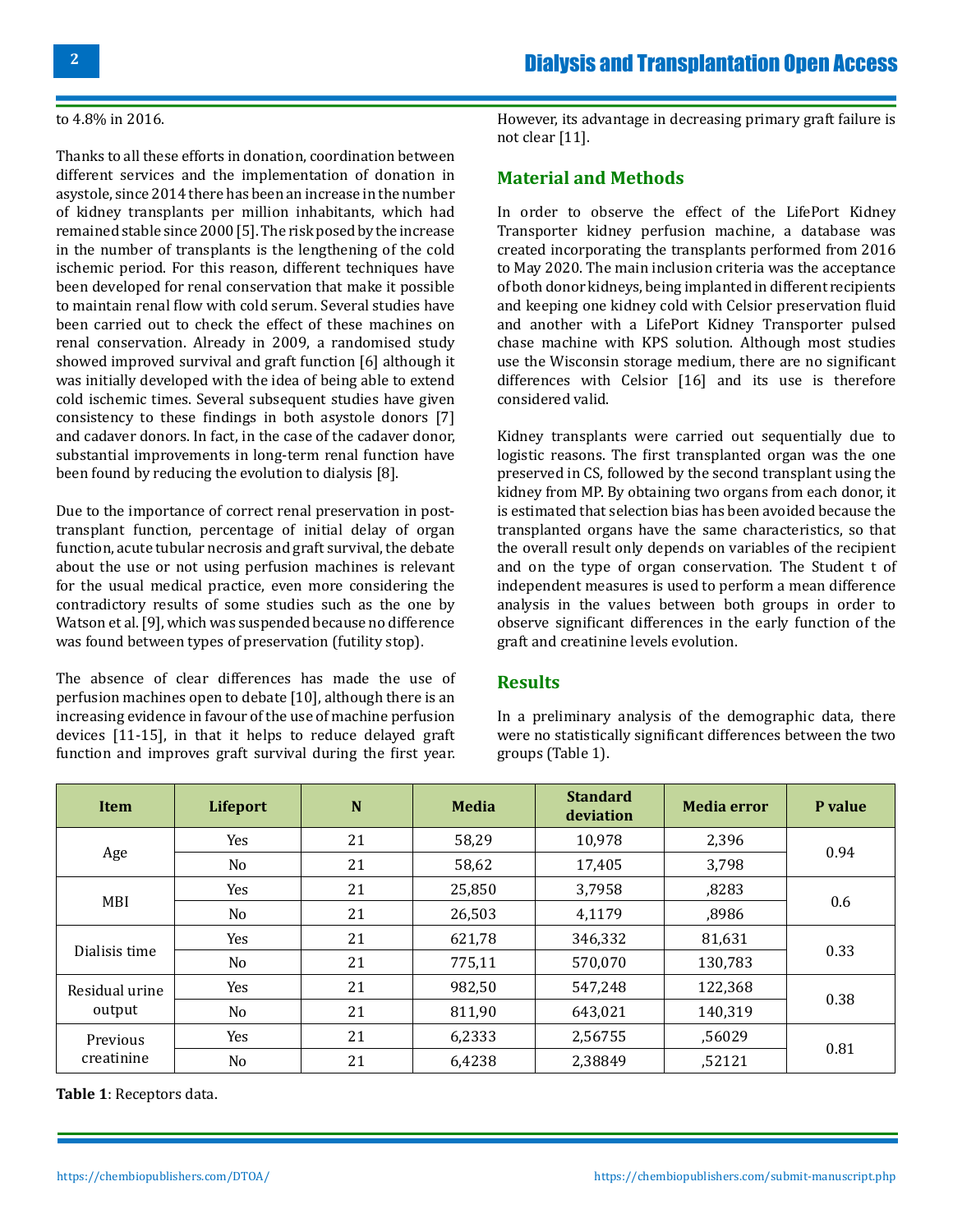#### to 4.8% in 2016.

Thanks to all these efforts in donation, coordination between different services and the implementation of donation in asystole, since 2014 there has been an increase in the number of kidney transplants per million inhabitants, which had remained stable since 2000 [5]. The risk posed by the increase in the number of transplants is the lengthening of the cold ischemic period. For this reason, different techniques have been developed for renal conservation that make it possible to maintain renal flow with cold serum. Several studies have been carried out to check the effect of these machines on renal conservation. Already in 2009, a randomised study showed improved survival and graft function [6] although it was initially developed with the idea of being able to extend cold ischemic times. Several subsequent studies have given consistency to these findings in both asystole donors [7] and cadaver donors. In fact, in the case of the cadaver donor, substantial improvements in long-term renal function have been found by reducing the evolution to dialysis [8].

Due to the importance of correct renal preservation in posttransplant function, percentage of initial delay of organ function, acute tubular necrosis and graft survival, the debate about the use or not using perfusion machines is relevant for the usual medical practice, even more considering the contradictory results of some studies such as the one by Watson et al. [9], which was suspended because no difference was found between types of preservation (futility stop).

The absence of clear differences has made the use of perfusion machines open to debate [10], although there is an increasing evidence in favour of the use of machine perfusion devices [11-15], in that it helps to reduce delayed graft function and improves graft survival during the first year. However, its advantage in decreasing primary graft failure is not clear [11].

### **Material and Methods**

In order to observe the effect of the LifePort Kidney Transporter kidney perfusion machine, a database was created incorporating the transplants performed from 2016 to May 2020. The main inclusion criteria was the acceptance of both donor kidneys, being implanted in different recipients and keeping one kidney cold with Celsior preservation fluid and another with a LifePort Kidney Transporter pulsed chase machine with KPS solution. Although most studies use the Wisconsin storage medium, there are no significant differences with Celsior [16] and its use is therefore considered valid.

Kidney transplants were carried out sequentially due to logistic reasons. The first transplanted organ was the one preserved in CS, followed by the second transplant using the kidney from MP. By obtaining two organs from each donor, it is estimated that selection bias has been avoided because the transplanted organs have the same characteristics, so that the overall result only depends on variables of the recipient and on the type of organ conservation. The Student t of independent measures is used to perform a mean difference analysis in the values between both groups in order to observe significant differences in the early function of the graft and creatinine levels evolution.

#### **Results**

In a preliminary analysis of the demographic data, there were no statistically significant differences between the two groups (Table 1).

| <b>Item</b>              | Lifeport | N  | <b>Media</b> | <b>Standard</b><br>deviation | <b>Media error</b> | P value |
|--------------------------|----------|----|--------------|------------------------------|--------------------|---------|
| Age                      | Yes      | 21 | 58,29        | 10,978                       | 2,396              | 0.94    |
|                          | No.      | 21 | 58,62        | 17,405                       | 3,798              |         |
| MBI                      | Yes      | 21 | 25,850       | 3,7958                       | ,8283              | 0.6     |
|                          | No       | 21 | 26,503       | 4,1179                       | ,8986              |         |
| Dialisis time            | Yes      | 21 | 621,78       | 346,332                      | 81,631             | 0.33    |
|                          | No       | 21 | 775,11       | 570,070                      | 130,783            |         |
| Residual urine<br>output | Yes      | 21 | 982,50       | 547,248                      | 122,368            | 0.38    |
|                          | No.      | 21 | 811,90       | 643,021                      | 140,319            |         |
| Previous<br>creatinine   | Yes      | 21 | 6,2333       | 2,56755                      | ,56029             | 0.81    |
|                          | No.      | 21 | 6,4238       | 2,38849                      | ,52121             |         |

**Table 1**: Receptors data.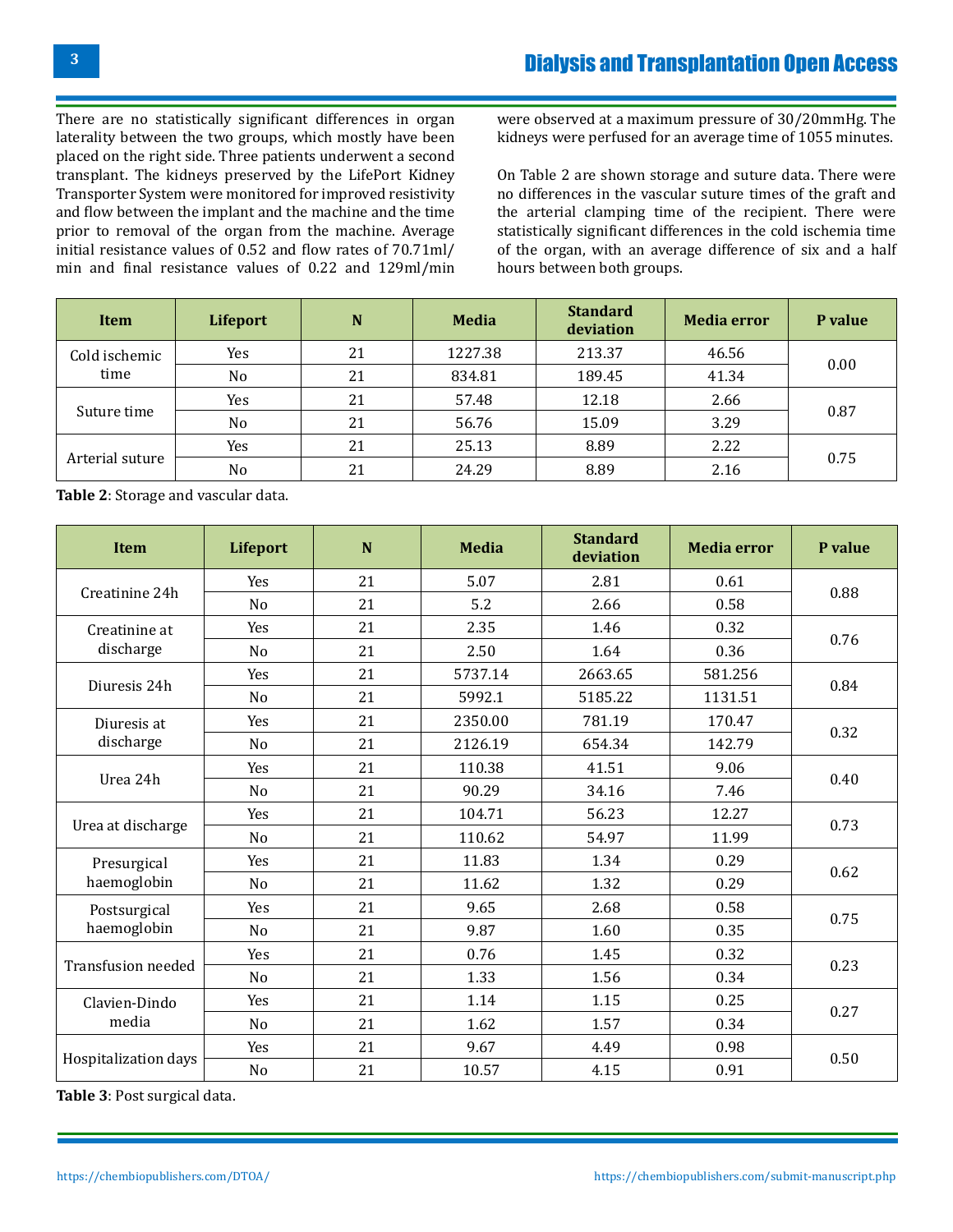There are no statistically significant differences in organ laterality between the two groups, which mostly have been placed on the right side. Three patients underwent a second transplant. The kidneys preserved by the LifePort Kidney Transporter System were monitored for improved resistivity and flow between the implant and the machine and the time prior to removal of the organ from the machine. Average initial resistance values of 0.52 and flow rates of 70.71ml/ min and final resistance values of 0.22 and 129ml/min were observed at a maximum pressure of 30/20mmHg. The kidneys were perfused for an average time of 1055 minutes.

On Table 2 are shown storage and suture data. There were no differences in the vascular suture times of the graft and the arterial clamping time of the recipient. There were statistically significant differences in the cold ischemia time of the organ, with an average difference of six and a half hours between both groups.

| Item                  | Lifeport       | N  | <b>Media</b> | <b>Standard</b><br>deviation | <b>Media error</b> | P value |
|-----------------------|----------------|----|--------------|------------------------------|--------------------|---------|
| Cold ischemic<br>time | Yes            | 21 | 1227.38      | 213.37                       | 46.56              | 0.00    |
|                       | N <sub>o</sub> | 21 | 834.81       | 189.45                       | 41.34              |         |
| Suture time           | Yes            | 21 | 57.48        | 12.18                        | 2.66               | 0.87    |
|                       | No             | 21 | 56.76        | 15.09                        | 3.29               |         |
| Arterial suture       | Yes            | 21 | 25.13        | 8.89                         | 2.22               | 0.75    |
|                       | No             | 21 | 24.29        | 8.89                         | 2.16               |         |

**Table 2**: Storage and vascular data.

| <b>Item</b>                 | Lifeport       | N  | <b>Media</b> | <b>Standard</b><br>deviation | <b>Media error</b> | P value |
|-----------------------------|----------------|----|--------------|------------------------------|--------------------|---------|
| Creatinine 24h              | Yes            | 21 | 5.07         | 2.81                         | 0.61               | 0.88    |
|                             | No             | 21 | 5.2          | 2.66                         | 0.58               |         |
| Creatinine at<br>discharge  | Yes            | 21 | 2.35         | 1.46                         | 0.32               | 0.76    |
|                             | N <sub>0</sub> | 21 | 2.50         | 1.64                         | 0.36               |         |
| Diuresis 24h                | Yes            | 21 | 5737.14      | 2663.65                      | 581.256            | 0.84    |
|                             | N <sub>o</sub> | 21 | 5992.1       | 5185.22                      | 1131.51            |         |
| Diuresis at<br>discharge    | Yes            | 21 | 2350.00      | 781.19                       | 170.47             | 0.32    |
|                             | No             | 21 | 2126.19      | 654.34                       | 142.79             |         |
| Urea 24h                    | Yes            | 21 | 110.38       | 41.51                        | 9.06               | 0.40    |
|                             | No             | 21 | 90.29        | 34.16                        | 7.46               |         |
| Urea at discharge           | Yes            | 21 | 104.71       | 56.23                        | 12.27              | 0.73    |
|                             | No             | 21 | 110.62       | 54.97                        | 11.99              |         |
| Presurgical<br>haemoglobin  | Yes            | 21 | 11.83        | 1.34                         | 0.29               | 0.62    |
|                             | No             | 21 | 11.62        | 1.32                         | 0.29               |         |
| Postsurgical<br>haemoglobin | Yes            | 21 | 9.65         | 2.68                         | 0.58               | 0.75    |
|                             | No             | 21 | 9.87         | 1.60                         | 0.35               |         |
| Transfusion needed          | Yes            | 21 | 0.76         | 1.45                         | 0.32               | 0.23    |
|                             | N <sub>0</sub> | 21 | 1.33         | 1.56                         | 0.34               |         |
| Clavien-Dindo<br>media      | Yes            | 21 | 1.14         | 1.15                         | 0.25               | 0.27    |
|                             | No             | 21 | 1.62         | 1.57                         | 0.34               |         |
| Hospitalization days        | Yes            | 21 | 9.67         | 4.49                         | 0.98               | 0.50    |
|                             | N <sub>0</sub> | 21 | 10.57        | 4.15                         | 0.91               |         |

**Table 3**: Post surgical data.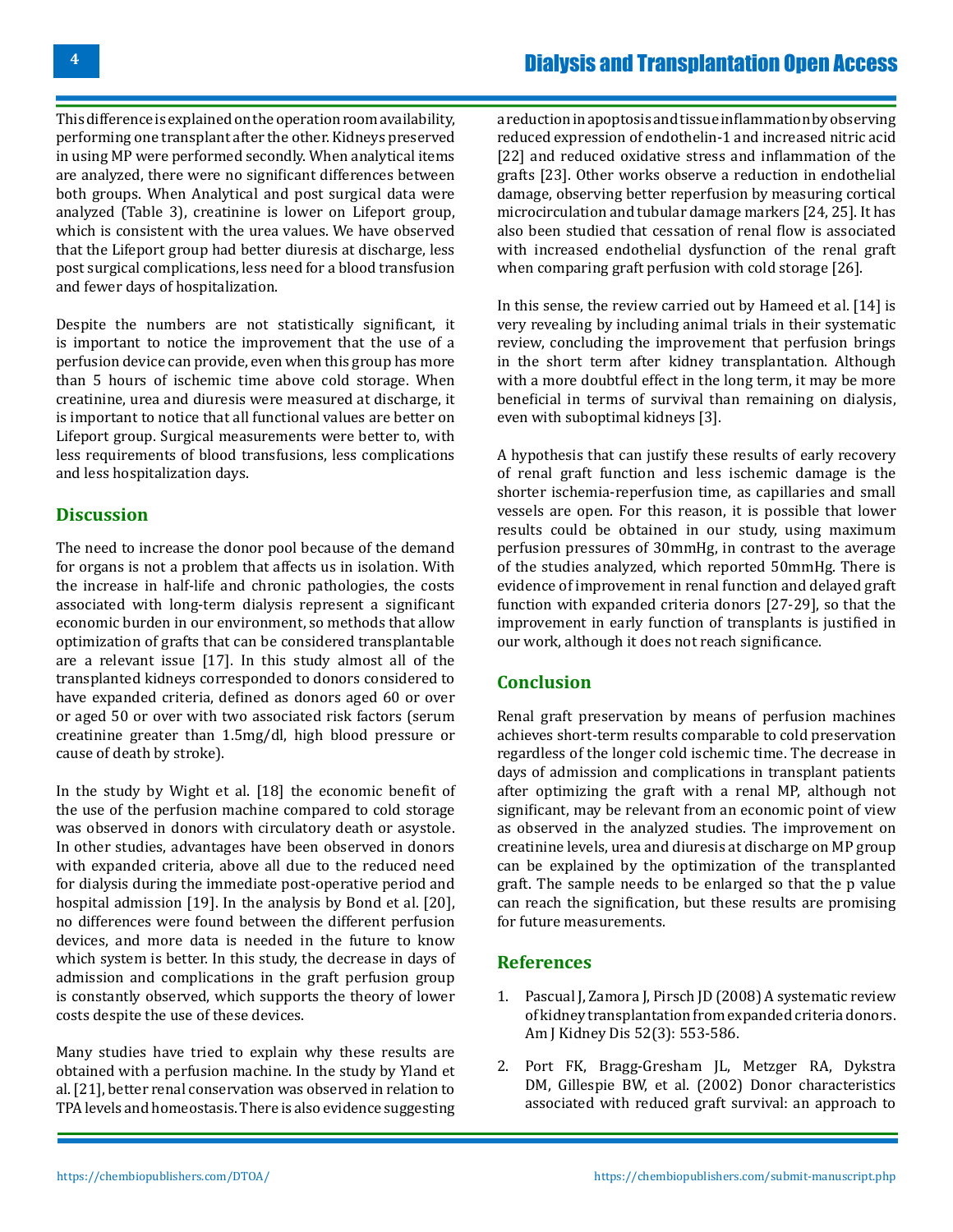This difference is explained on the operation room availability, performing one transplant after the other. Kidneys preserved in using MP were performed secondly. When analytical items are analyzed, there were no significant differences between both groups. When Analytical and post surgical data were analyzed (Table 3), creatinine is lower on Lifeport group, which is consistent with the urea values. We have observed that the Lifeport group had better diuresis at discharge, less post surgical complications, less need for a blood transfusion and fewer days of hospitalization.

Despite the numbers are not statistically significant, it is important to notice the improvement that the use of a perfusion device can provide, even when this group has more than 5 hours of ischemic time above cold storage. When creatinine, urea and diuresis were measured at discharge, it is important to notice that all functional values are better on Lifeport group. Surgical measurements were better to, with less requirements of blood transfusions, less complications and less hospitalization days.

## **Discussion**

The need to increase the donor pool because of the demand for organs is not a problem that affects us in isolation. With the increase in half-life and chronic pathologies, the costs associated with long-term dialysis represent a significant economic burden in our environment, so methods that allow optimization of grafts that can be considered transplantable are a relevant issue [17]. In this study almost all of the transplanted kidneys corresponded to donors considered to have expanded criteria, defined as donors aged 60 or over or aged 50 or over with two associated risk factors (serum creatinine greater than 1.5mg/dl, high blood pressure or cause of death by stroke).

In the study by Wight et al. [18] the economic benefit of the use of the perfusion machine compared to cold storage was observed in donors with circulatory death or asystole. In other studies, advantages have been observed in donors with expanded criteria, above all due to the reduced need for dialysis during the immediate post-operative period and hospital admission [19]. In the analysis by Bond et al. [20], no differences were found between the different perfusion devices, and more data is needed in the future to know which system is better. In this study, the decrease in days of admission and complications in the graft perfusion group is constantly observed, which supports the theory of lower costs despite the use of these devices.

Many studies have tried to explain why these results are obtained with a perfusion machine. In the study by Yland et al. [21], better renal conservation was observed in relation to TPA levels and homeostasis. There is also evidence suggesting

a reduction in apoptosis and tissue inflammation by observing reduced expression of endothelin-1 and increased nitric acid [22] and reduced oxidative stress and inflammation of the grafts [23]. Other works observe a reduction in endothelial damage, observing better reperfusion by measuring cortical microcirculation and tubular damage markers [24, 25]. It has also been studied that cessation of renal flow is associated with increased endothelial dysfunction of the renal graft when comparing graft perfusion with cold storage [26].

In this sense, the review carried out by Hameed et al. [14] is very revealing by including animal trials in their systematic review, concluding the improvement that perfusion brings in the short term after kidney transplantation. Although with a more doubtful effect in the long term, it may be more beneficial in terms of survival than remaining on dialysis, even with suboptimal kidneys [3].

A hypothesis that can justify these results of early recovery of renal graft function and less ischemic damage is the shorter ischemia-reperfusion time, as capillaries and small vessels are open. For this reason, it is possible that lower results could be obtained in our study, using maximum perfusion pressures of 30mmHg, in contrast to the average of the studies analyzed, which reported 50mmHg. There is evidence of improvement in renal function and delayed graft function with expanded criteria donors [27-29], so that the improvement in early function of transplants is justified in our work, although it does not reach significance.

## **Conclusion**

Renal graft preservation by means of perfusion machines achieves short-term results comparable to cold preservation regardless of the longer cold ischemic time. The decrease in days of admission and complications in transplant patients after optimizing the graft with a renal MP, although not significant, may be relevant from an economic point of view as observed in the analyzed studies. The improvement on creatinine levels, urea and diuresis at discharge on MP group can be explained by the optimization of the transplanted graft. The sample needs to be enlarged so that the p value can reach the signification, but these results are promising for future measurements.

## **References**

- 1. [Pascual J, Zamora J, Pirsch JD \(2008\) A systematic review](https://pubmed.ncbi.nlm.nih.gov/18725015/) [of kidney transplantation from expanded criteria donors.](https://pubmed.ncbi.nlm.nih.gov/18725015/) [Am J Kidney Dis 52\(3\): 553-586.](https://pubmed.ncbi.nlm.nih.gov/18725015/)
- 2. [Port FK, Bragg-Gresham JL, Metzger RA, Dykstra](https://pubmed.ncbi.nlm.nih.gov/12451266/)  [DM, Gillespie BW, et al. \(2002\) Donor characteristics](https://pubmed.ncbi.nlm.nih.gov/12451266/) [associated with reduced graft survival: an approach to](https://pubmed.ncbi.nlm.nih.gov/12451266/)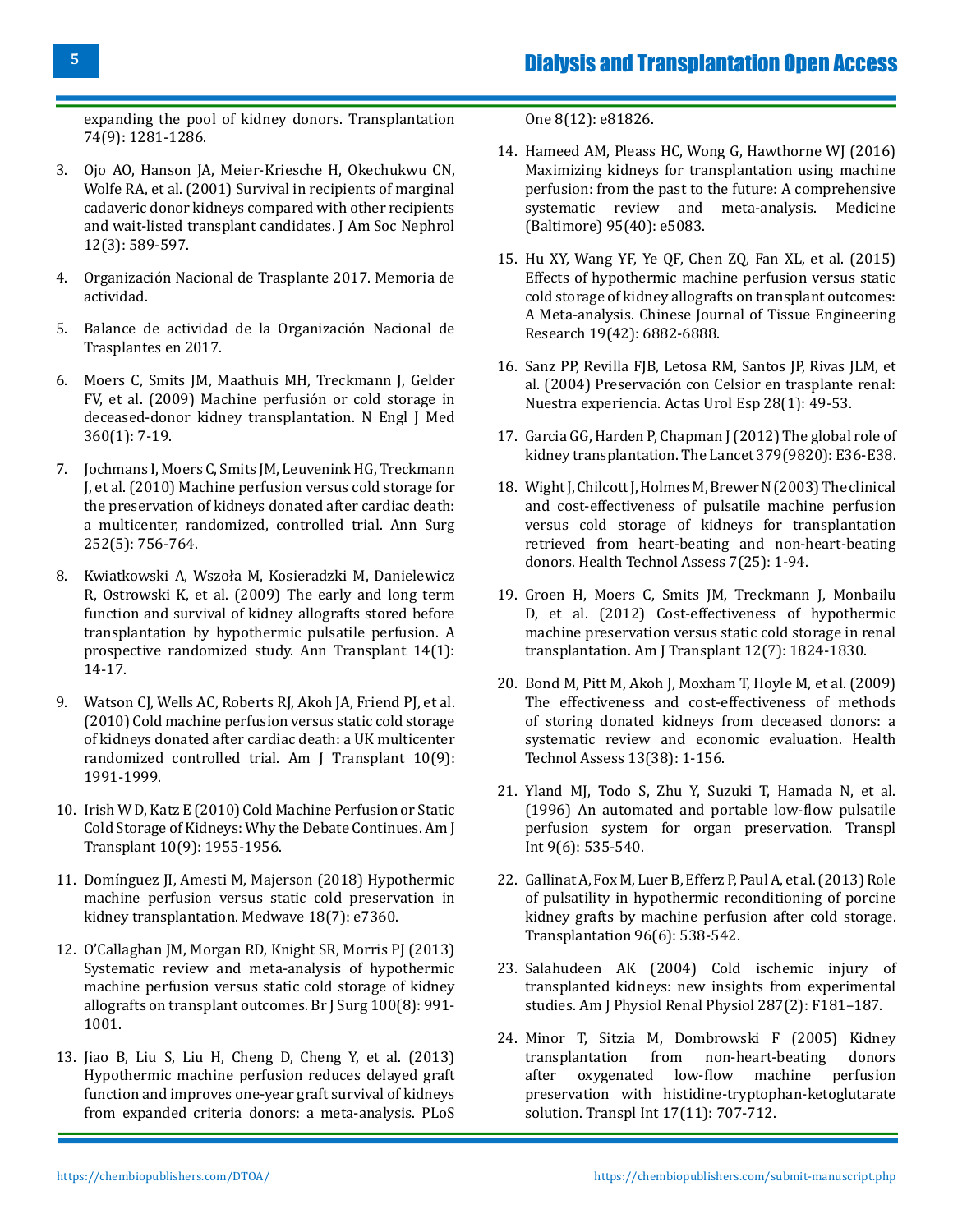[expanding the pool of kidney donors. Transplantation](https://pubmed.ncbi.nlm.nih.gov/12451266/) [74\(9\): 1281-1286.](https://pubmed.ncbi.nlm.nih.gov/12451266/)

- 3. [Ojo AO, Hanson JA, Meier-Kriesche H, Okechukwu CN,](https://pubmed.ncbi.nlm.nih.gov/11181808/) [Wolfe RA, et al. \(2001\) Survival in recipients of marginal](https://pubmed.ncbi.nlm.nih.gov/11181808/) [cadaveric donor kidneys compared with other recipients](https://pubmed.ncbi.nlm.nih.gov/11181808/) [and wait-listed transplant candidates. J Am Soc Nephrol](https://pubmed.ncbi.nlm.nih.gov/11181808/) [12\(3\): 589-597.](https://pubmed.ncbi.nlm.nih.gov/11181808/)
- 4. Organización Nacional de Trasplante 2017. Memoria de actividad.
- 5. [Balance de actividad de la Organización Nacional de](http://www.ont.es/documents/datos20172018ene11.pdf) [Trasplantes en 2017.](http://www.ont.es/documents/datos20172018ene11.pdf)
- 6. [Moers C, Smits JM, Maathuis MH, Treckmann J, Gelder](https://pubmed.ncbi.nlm.nih.gov/19118301/) [FV, et al. \(2009\) Machine perfusión or cold storage in](https://pubmed.ncbi.nlm.nih.gov/19118301/) [deceased-donor kidney transplantation. N Engl J Med](https://pubmed.ncbi.nlm.nih.gov/19118301/) [360\(1\): 7-19.](https://pubmed.ncbi.nlm.nih.gov/19118301/)
- 7. [Jochmans I, Moers C, Smits JM, Leuvenink HG, Treckmann](https://pubmed.ncbi.nlm.nih.gov/21037431/) [J, et al. \(2010\) Machine perfusion versus cold storage for](https://pubmed.ncbi.nlm.nih.gov/21037431/) [the preservation of kidneys donated after cardiac death:](https://pubmed.ncbi.nlm.nih.gov/21037431/) [a multicenter, randomized, controlled trial. Ann Surg](https://pubmed.ncbi.nlm.nih.gov/21037431/) [252\(5\): 756-764.](https://pubmed.ncbi.nlm.nih.gov/21037431/)
- 8. [Kwiatkowski A, Wszoła M, Kosieradzki M, Danielewicz](https://pubmed.ncbi.nlm.nih.gov/19289991/) [R, Ostrowski K, et al. \(2009\) The early and long term](https://pubmed.ncbi.nlm.nih.gov/19289991/) [function and survival of kidney allografts stored before](https://pubmed.ncbi.nlm.nih.gov/19289991/) [transplantation by hypothermic pulsatile perfusion. A](https://pubmed.ncbi.nlm.nih.gov/19289991/) [prospective randomized study. Ann Transplant 14\(1\):](https://pubmed.ncbi.nlm.nih.gov/19289991/) [14-17.](https://pubmed.ncbi.nlm.nih.gov/19289991/)
- 9. [Watson CJ, Wells AC, Roberts RJ, Akoh JA, Friend PJ, et al.](https://pubmed.ncbi.nlm.nih.gov/20883534/) [\(2010\) Cold machine perfusion versus static cold storage](https://pubmed.ncbi.nlm.nih.gov/20883534/) [of kidneys donated after cardiac death: a UK multicenter](https://pubmed.ncbi.nlm.nih.gov/20883534/) [randomized controlled trial. Am J Transplant 10\(9\):](https://pubmed.ncbi.nlm.nih.gov/20883534/) [1991-1999.](https://pubmed.ncbi.nlm.nih.gov/20883534/)
- 10. [Irish W D, Katz E \(2010\) Cold Machine Perfusion or Static](https://pubmed.ncbi.nlm.nih.gov/20883530/) [Cold Storage of Kidneys: Why the Debate Continues. Am J](https://pubmed.ncbi.nlm.nih.gov/20883530/) [Transplant 10\(9\): 1955-1956.](https://pubmed.ncbi.nlm.nih.gov/20883530/)
- 11. [Domínguez JI, Amesti M, Majerson \(2018\) Hypothermic](https://pubmed.ncbi.nlm.nih.gov/30507893/) [machine perfusion versus static cold preservation in](https://pubmed.ncbi.nlm.nih.gov/30507893/) [kidney transplantation. Medwave](https://pubmed.ncbi.nlm.nih.gov/30507893/) 18(7): e7360.
- 12. [O'Callaghan JM, Morgan RD, Knight SR, Morris PJ \(2013\)](https://pubmed.ncbi.nlm.nih.gov/23754643/) [Systematic review and meta-analysis of hypothermic](https://pubmed.ncbi.nlm.nih.gov/23754643/) [machine perfusion versus static cold storage of kidney](https://pubmed.ncbi.nlm.nih.gov/23754643/) [allografts on transplant outcomes. Br J Surg 100\(8\): 991-](https://pubmed.ncbi.nlm.nih.gov/23754643/) [1001.](https://pubmed.ncbi.nlm.nih.gov/23754643/)
- 13. [Jiao B, Liu S, Liu H, Cheng D, Cheng Y, et al. \(2013\)](https://pubmed.ncbi.nlm.nih.gov/24339970/) [Hypothermic machine perfusion reduces delayed graft](https://pubmed.ncbi.nlm.nih.gov/24339970/) [function and improves one-year graft survival of kidneys](https://pubmed.ncbi.nlm.nih.gov/24339970/) [from expanded criteria donors: a meta-analysis. PLoS](https://pubmed.ncbi.nlm.nih.gov/24339970/)

[One 8\(12\): e81826.](https://pubmed.ncbi.nlm.nih.gov/24339970/)

- 14. [Hameed AM, Pleass HC, Wong G, Hawthorne WJ \(2016\)](https://pubmed.ncbi.nlm.nih.gov/27749583/) [Maximizing kidneys for transplantation using machine](https://pubmed.ncbi.nlm.nih.gov/27749583/) [perfusion: from the past to the future: A comprehensive](https://pubmed.ncbi.nlm.nih.gov/27749583/) [systematic review and meta-analysis. Medicine](https://pubmed.ncbi.nlm.nih.gov/27749583/) [\(Baltimore\) 95\(40\): e5083.](https://pubmed.ncbi.nlm.nih.gov/27749583/)
- 15. Hu XY, Wang YF, Ye QF, Chen ZQ, Fan XL, et al. (2015) Effects of hypothermic machine perfusion versus static cold storage of kidney allografts on transplant outcomes: A Meta-analysis. Chinese Journal of Tissue Engineering Research 19(42): 6882-6888.
- 16. [Sanz PP, Revilla FJB, Letosa RM, Santos JP, Rivas JLM, et](https://www.sciencedirect.com/science/article/abs/pii/S0210480604730351)  [al. \(2004\) Preservación con Celsior en trasplante renal:](https://www.sciencedirect.com/science/article/abs/pii/S0210480604730351)  [Nuestra experiencia. Actas Urol Esp](https://www.sciencedirect.com/science/article/abs/pii/S0210480604730351) 28(1): 49-53.
- 17. [Garcia GG, Harden P, Chapman J\(2012\) The global role of](https://www.thelancet.com/journals/lancet/article/PIIS0140-6736(12)60202-5/fulltext) [kidney transplantation. The Lancet 379\(9820\): E36-E38](https://www.thelancet.com/journals/lancet/article/PIIS0140-6736(12)60202-5/fulltext).
- 18. [Wight J, Chilcott J, Holmes M, Brewer N \(2003\) The clinical](https://pubmed.ncbi.nlm.nih.gov/14499050/)  [and cost-effectiveness of pulsatile machine perfusion](https://pubmed.ncbi.nlm.nih.gov/14499050/) [versus cold storage of kidneys for transplantation](https://pubmed.ncbi.nlm.nih.gov/14499050/)  [retrieved from heart-beating and non-heart-beating](https://pubmed.ncbi.nlm.nih.gov/14499050/)  donors. [Health Technol Assess](https://pubmed.ncbi.nlm.nih.gov/14499050/) 7(25): 1-94.
- 19. [Groen H, Moers C, Smits JM, Treckmann J, Monbailu](https://pubmed.ncbi.nlm.nih.gov/22578189/)  D, et al. (2012) [Cost-effectiveness of hypothermic](https://pubmed.ncbi.nlm.nih.gov/22578189/) [machine preservation versus static cold storage in renal](https://pubmed.ncbi.nlm.nih.gov/22578189/) transplantation. Am J Transplant [12\(7\): 1824-1830.](https://pubmed.ncbi.nlm.nih.gov/22578189/)
- 20. Bond M, Pitt M, Akoh J, Moxham T, [Hoyle M, et al. \(2009\)](https://pubmed.ncbi.nlm.nih.gov/19674537/) [The effectiveness and cost-effectiveness of methods](https://pubmed.ncbi.nlm.nih.gov/19674537/) [of storing donated kidneys from deceased donors: a](https://pubmed.ncbi.nlm.nih.gov/19674537/) [systematic review and economic evaluation.](https://pubmed.ncbi.nlm.nih.gov/19674537/) Health [Technol Assess](https://pubmed.ncbi.nlm.nih.gov/19674537/) 13(38): 1-156.
- 21. [Yland MJ, Todo S, Zhu Y, Suzuki T, Hamada N, et al.](https://pubmed.ncbi.nlm.nih.gov/8914231/)  (1996) [An automated and portable low-flow pulsatile](https://pubmed.ncbi.nlm.nih.gov/8914231/)  [perfusion system for organ preservation.](https://pubmed.ncbi.nlm.nih.gov/8914231/) Transpl Int [9\(6\): 535-540.](https://pubmed.ncbi.nlm.nih.gov/8914231/)
- 22. Gallinat A, Fox M, Luer B, Efferz P, Paul A, et al. (2013) Role [of pulsatility in hypothermic reconditioning of porcine](https://pubmed.ncbi.nlm.nih.gov/23823654/) [kidney grafts by machine perfusion after cold storage.](https://pubmed.ncbi.nlm.nih.gov/23823654/) [Transplantation 96\(6\): 538-542.](https://pubmed.ncbi.nlm.nih.gov/23823654/)
- 23. Salahudeen AK (2004) [Cold ischemic injury of](https://pubmed.ncbi.nlm.nih.gov/15271685/) [transplanted kidneys: new insights from experimental](https://pubmed.ncbi.nlm.nih.gov/15271685/)  studies. [Am J Physiol Renal Physiol 287\(2\): F181–187.](https://pubmed.ncbi.nlm.nih.gov/15271685/)
- 24. [Minor T, Sitzia M, Dombrowski F \(2005\)](https://pubmed.ncbi.nlm.nih.gov/15717215/) Kidney transplantation from non-heart-beating<br>after oxygenated low-flow machine oxygenated low-flow machine perfusion [preservation with histidine-tryptophan-ketoglutarate](https://pubmed.ncbi.nlm.nih.gov/15717215/)  solution. Transpl Int [17\(11\): 707-712.](https://pubmed.ncbi.nlm.nih.gov/15717215/)